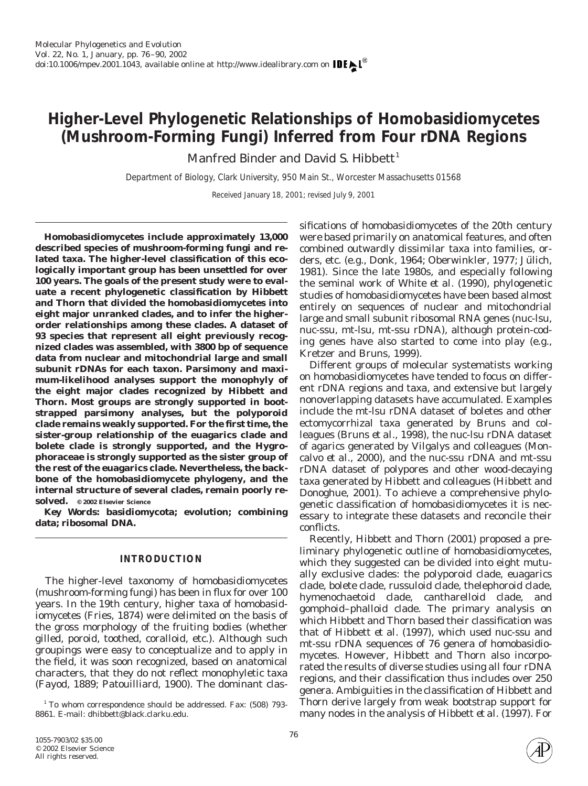# **Higher-Level Phylogenetic Relationships of Homobasidiomycetes (Mushroom-Forming Fungi) Inferred from Four rDNA Regions**

Manfred Binder and David S. Hibbett<sup>1</sup>

*Department of Biology, Clark University, 950 Main St., Worcester Massachusetts 01568*

Received January 18, 2001; revised July 9, 2001

**Homobasidiomycetes include approximately 13,000 described species of mushroom-forming fungi and related taxa. The higher-level classification of this ecologically important group has been unsettled for over 100 years. The goals of the present study were to evaluate a recent phylogenetic classification by Hibbett and Thorn that divided the homobasidiomycetes into eight major unranked clades, and to infer the higherorder relationships among these clades. A dataset of 93 species that represent all eight previously recognized clades was assembled, with 3800 bp of sequence data from nuclear and mitochondrial large and small subunit rDNAs for each taxon. Parsimony and maximum-likelihood analyses support the monophyly of the eight major clades recognized by Hibbett and Thorn. Most groups are strongly supported in bootstrapped parsimony analyses, but the polyporoid clade remains weakly supported. For the first time, the sister-group relationship of the euagarics clade and bolete clade is strongly supported, and the Hygrophoraceae is strongly supported as the sister group of the rest of the euagarics clade. Nevertheless, the backbone of the homobasidiomycete phylogeny, and the internal structure of several clades, remain poorly resolved. © 2002 Elsevier Science**

*Key Words:* **basidiomycota; evolution; combining data; ribosomal DNA.**

## **INTRODUCTION**

The higher-level taxonomy of homobasidiomycetes (mushroom-forming fungi) has been in flux for over 100 years. In the 19th century, higher taxa of homobasidiomycetes (Fries, 1874) were delimited on the basis of the gross morphology of the fruiting bodies (whether gilled, poroid, toothed, coralloid, etc.). Although such groupings were easy to conceptualize and to apply in the field, it was soon recognized, based on anatomical characters, that they do not reflect monophyletic taxa (Fayod, 1889; Patouilliard, 1900). The dominant clas-

<sup>1</sup> To whom correspondence should be addressed. Fax: (508) 793-8861. E-mail: dhibbett@black.clarku.edu.

sifications of homobasidiomycetes of the 20th century were based primarily on anatomical features, and often combined outwardly dissimilar taxa into families, orders, etc. (e.g., Donk, 1964; Oberwinkler, 1977; Jülich, 1981). Since the late 1980s, and especially following the seminal work of White *et al.* (1990), phylogenetic studies of homobasidiomycetes have been based almost entirely on sequences of nuclear and mitochondrial large and small subunit ribosomal RNA genes (nuc-lsu, nuc-ssu, mt-lsu, mt-ssu rDNA), although protein-coding genes have also started to come into play (e.g., Kretzer and Bruns, 1999).

Different groups of molecular systematists working on homobasidiomycetes have tended to focus on different rDNA regions and taxa, and extensive but largely nonoverlapping datasets have accumulated. Examples include the mt-lsu rDNA dataset of boletes and other ectomycorrhizal taxa generated by Bruns and colleagues (Bruns *et al.,* 1998), the nuc-lsu rDNA dataset of agarics generated by Vilgalys and colleagues (Moncalvo *et al.,* 2000), and the nuc-ssu rDNA and mt-ssu rDNA dataset of polypores and other wood-decaying taxa generated by Hibbett and colleagues (Hibbett and Donoghue, 2001). To achieve a comprehensive phylogenetic classification of homobasidiomycetes it is necessary to integrate these datasets and reconcile their conflicts.

Recently, Hibbett and Thorn (2001) proposed a preliminary phylogenetic outline of homobasidiomycetes, which they suggested can be divided into eight mutually exclusive clades: the polyporoid clade, euagarics clade, bolete clade, russuloid clade, thelephoroid clade, hymenochaetoid clade, cantharelloid clade, and gomphoid–phalloid clade. The primary analysis on which Hibbett and Thorn based their classification was that of Hibbett *et al.* (1997), which used nuc-ssu and mt-ssu rDNA sequences of 76 genera of homobasidiomycetes. However, Hibbett and Thorn also incorporated the results of diverse studies using all four rDNA regions, and their classification thus includes over 250 genera. Ambiguities in the classification of Hibbett and Thorn derive largely from weak bootstrap support for many nodes in the analysis of Hibbett *et al.* (1997). For

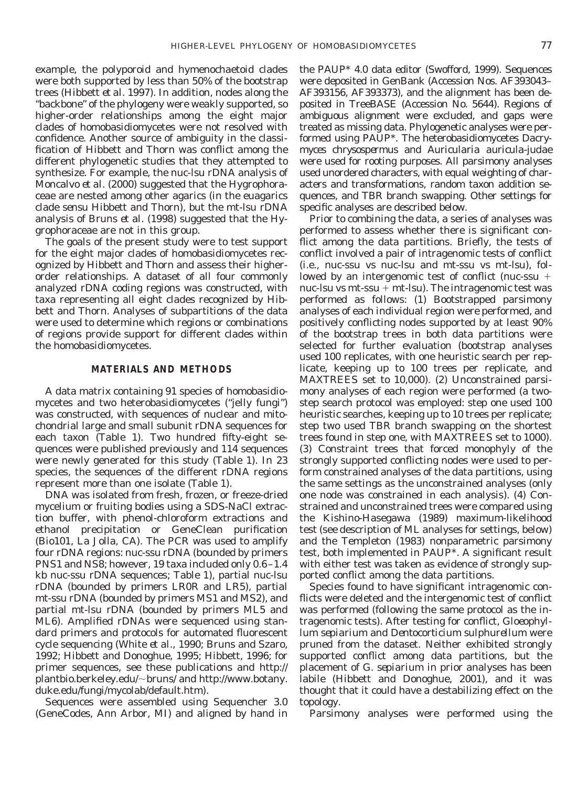example, the polyporoid and hymenochaetoid clades were both supported by less than 50% of the bootstrap trees (Hibbett *et al.* 1997). In addition, nodes along the "backbone" of the phylogeny were weakly supported, so higher-order relationships among the eight major clades of homobasidiomycetes were not resolved with confidence. Another source of ambiguity in the classification of Hibbett and Thorn was conflict among the different phylogenetic studies that they attempted to synthesize. For example, the nuc-lsu rDNA analysis of Moncalvo *et al.* (2000) suggested that the Hygrophoraceae are nested among other agarics (in the euagarics clade *sensu* Hibbett and Thorn), but the mt-lsu rDNA analysis of Bruns *et al.* (1998) suggested that the Hygrophoraceae are not in this group.

The goals of the present study were to test support for the eight major clades of homobasidiomycetes recognized by Hibbett and Thorn and assess their higherorder relationships. A dataset of all four commonly analyzed rDNA coding regions was constructed, with taxa representing all eight clades recognized by Hibbett and Thorn. Analyses of subpartitions of the data were used to determine which regions or combinations of regions provide support for different clades within the homobasidiomycetes.

# **MATERIALS AND METHODS**

A data matrix containing 91 species of homobasidiomycetes and two heterobasidiomycetes ("jelly fungi") was constructed, with sequences of nuclear and mitochondrial large and small subunit rDNA sequences for each taxon (Table 1). Two hundred fifty-eight sequences were published previously and 114 sequences were newly generated for this study (Table 1). In 23 species, the sequences of the different rDNA regions represent more than one isolate (Table 1).

DNA was isolated from fresh, frozen, or freeze-dried mycelium or fruiting bodies using a SDS-NaCl extraction buffer, with phenol-chloroform extractions and ethanol precipitation or GeneClean purification (Bio101, La Jolla, CA). The PCR was used to amplify four rDNA regions: nuc-ssu rDNA (bounded by primers PNS1 and NS8; however, 19 taxa included only 0.6–1.4 kb nuc-ssu rDNA sequences; Table 1), partial nuc-lsu rDNA (bounded by primers LR0R and LR5), partial mt-ssu rDNA (bounded by primers MS1 and MS2), and partial mt-lsu rDNA (bounded by primers ML5 and ML6). Amplified rDNAs were sequenced using standard primers and protocols for automated fluorescent cycle sequencing (White *et al.,* 1990; Bruns and Szaro, 1992; Hibbett and Donoghue, 1995; Hibbett, 1996; for primer sequences, see these publications and http:// plantbio.berkeley.edu/~bruns/ and http://www.botany. duke.edu/fungi/mycolab/default.htm).

Sequences were assembled using Sequencher 3.0 (GeneCodes, Ann Arbor, MI) and aligned by hand in the PAUP\* 4.0 data editor (Swofford, 1999). Sequences were deposited in GenBank (Accession Nos. AF393043– AF393156, AF393373), and the alignment has been deposited in TreeBASE (Accession No. 5644). Regions of ambiguous alignment were excluded, and gaps were treated as missing data. Phylogenetic analyses were performed using PAUP\*. The heterobasidiomycetes *Dacrymyces chrysospermus* and *Auricularia auricula-judae* were used for rooting purposes. All parsimony analyses used unordered characters, with equal weighting of characters and transformations, random taxon addition sequences, and TBR branch swapping. Other settings for specific analyses are described below.

Prior to combining the data, a series of analyses was performed to assess whether there is significant conflict among the data partitions. Briefly, the tests of conflict involved a pair of intragenomic tests of conflict (i.e., nuc-ssu vs nuc-lsu and mt-ssu vs mt-lsu), followed by an intergenomic test of conflict (nuc-ssu  $+$ nuc-lsu vs mt-ssu  $+$  mt-lsu). The intragenomic test was performed as follows: (1) Bootstrapped parsimony analyses of each individual region were performed, and positively conflicting nodes supported by at least 90% of the bootstrap trees in both data partitions were selected for further evaluation (bootstrap analyses used 100 replicates, with one heuristic search per replicate, keeping up to 100 trees per replicate, and MAXTREES set to 10,000). (2) Unconstrained parsimony analyses of each region were performed (a twostep search protocol was employed: step one used 100 heuristic searches, keeping up to 10 trees per replicate; step two used TBR branch swapping on the shortest trees found in step one, with MAXTREES set to 1000). (3) Constraint trees that forced monophyly of the strongly supported conflicting nodes were used to perform constrained analyses of the data partitions, using the same settings as the unconstrained analyses (only one node was constrained in each analysis). (4) Constrained and unconstrained trees were compared using the Kishino-Hasegawa (1989) maximum-likelihood test (see description of ML analyses for settings, below) and the Templeton (1983) nonparametric parsimony test, both implemented in PAUP\*. A significant result with either test was taken as evidence of strongly supported conflict among the data partitions.

Species found to have significant intragenomic conflicts were deleted and the intergenomic test of conflict was performed (following the same protocol as the intragenomic tests). After testing for conflict, *Gloeophyllum sepiarium* and *Dentocorticium sulphurellum* were pruned from the dataset. Neither exhibited strongly supported conflict among data partitions, but the placement of *G. sepiarium* in prior analyses has been labile (Hibbett and Donoghue, 2001), and it was thought that it could have a destabilizing effect on the topology.

Parsimony analyses were performed using the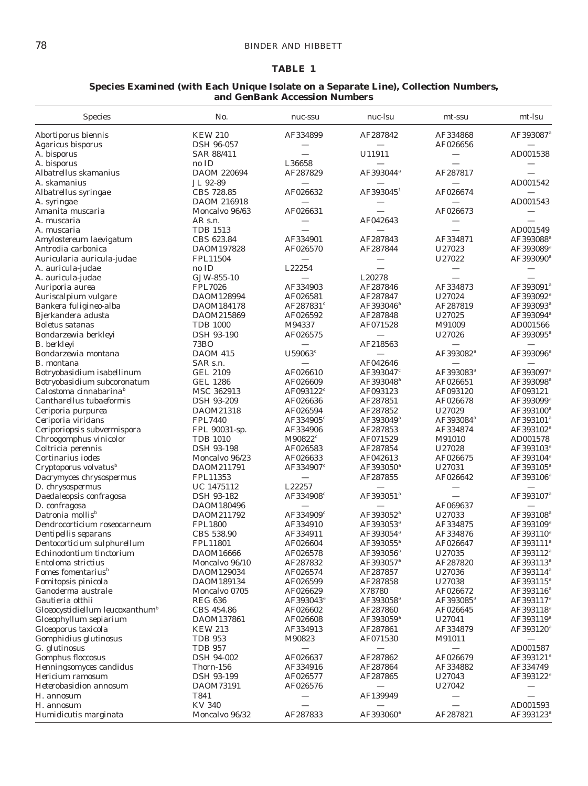# **TABLE 1**

## **Species Examined (with Each Unique Isolate on a Separate Line), Collection Numbers, and GenBank Accession Numbers**

| <b>Species</b>                                 | No.                              | nuc-ssu                         | nuc-lsu                           | mt-ssu                | mt-lsu<br>AF393087 <sup>ª</sup>   |  |
|------------------------------------------------|----------------------------------|---------------------------------|-----------------------------------|-----------------------|-----------------------------------|--|
| Abortiporus biennis                            | <b>KEW 210</b>                   | AF334899                        | AF287842                          | AF334868              |                                   |  |
| Agaricus bisporus                              | <b>DSH 96-057</b>                |                                 |                                   | AF026656              |                                   |  |
| A. bisporus                                    | SAR 88/411                       |                                 | U11911                            |                       | AD001538                          |  |
| A. bisporus                                    | no ID                            | L36658                          |                                   |                       |                                   |  |
| Albatrellus skamanius                          | DAOM 220694                      | AF287829                        | AF393044 <sup>ª</sup>             | AF287817              |                                   |  |
| A. skamanius                                   | JL 92-89                         |                                 |                                   |                       | AD001542                          |  |
| Albatrellus syringae                           | CBS 728.85                       | AF026632                        | $AF393045^1$                      | AF026674              |                                   |  |
| A. syringae                                    | DAOM 216918                      |                                 |                                   |                       | AD001543                          |  |
| Amanita muscaria                               | Moncalvo 96/63                   | AF026631                        |                                   | AF026673              |                                   |  |
| A. muscaria                                    | $AR \,$ s.n.                     |                                 | AF042643                          |                       |                                   |  |
| A. muscaria                                    | <b>TDB 1513</b>                  |                                 |                                   |                       | AD001549                          |  |
| Amylostereum laevigatum                        | CBS 623.84                       | AF334901                        | AF287843                          | AF334871              | AF393088 <sup>ª</sup>             |  |
| Antrodia carbonica                             | DAOM197828                       | AF026570                        | AF287844                          | U27023                | AF393089 <sup>a</sup>             |  |
| Auricularia auricula-judae                     | FPL11504                         |                                 |                                   | U27022                | AF393090 <sup>®</sup>             |  |
| A. auricula-judae                              | no ID                            | L22254                          |                                   |                       |                                   |  |
| A. auricula-judae                              | GJW-855-10                       |                                 | L20278                            |                       |                                   |  |
| Auriporia aurea                                | <b>FPL7026</b>                   | AF334903                        | AF287846                          | AF334873              | AF393091 <sup>ª</sup>             |  |
| Auriscalpium vulgare                           | DAOM128994                       | AF026581                        | AF287847                          | U27024                | AF393092 <sup>ª</sup>             |  |
| Bankera fuligineo-alba                         | DAOM184178                       | AF287831 <sup>c</sup>           | AF393046 <sup>ª</sup>             | AF287819              | AF393093 <sup>ª</sup>             |  |
| Bjerkandera adusta                             | DAOM215869                       | AF026592                        | AF287848                          | U27025                | AF393094 <sup>ª</sup>             |  |
| <b>Boletus</b> satanas                         | <b>TDB 1000</b>                  | M94337                          | AF071528                          | M91009                | AD001566                          |  |
| Bondarzewia berkleyi                           | <b>DSH 93-190</b>                | AF026575                        |                                   | U27026                | AF393095 <sup>®</sup>             |  |
| B. berkleyi                                    | 73BO                             |                                 | AF218563                          |                       |                                   |  |
| Bondarzewia montana                            | <b>DAOM 415</b>                  | U59063 <sup>c</sup>             |                                   | AF393082 <sup>a</sup> | AF393096 <sup>ª</sup>             |  |
| B. montana                                     | SAR s.n.                         |                                 | AF042646                          |                       |                                   |  |
| Botryobasidium isabellinum                     | GEL 2109                         | AF026610                        | AF393047 $^c$                     | AF393083ª             | AF393097 <sup>ª</sup>             |  |
| Botryobasidium subcoronatum                    | GEL 1286                         | AF026609                        | AF393048 <sup>ª</sup>             | AF026651              | AF393098 <sup>ª</sup>             |  |
| Calostoma cinnabarina <sup>b</sup>             | MSC 362913                       | AF093122 $^c$                   | AF093123                          | AF093120              | AF093121                          |  |
| Cantharellus tubaeformis                       | <b>DSH 93-209</b>                | AF026636                        | AF287851                          | AF026678              | AF393099 <sup>ª</sup>             |  |
| Ceriporia purpurea                             | DAOM21318                        | AF026594                        | AF287852                          | U27029                | AF393100 <sup>a</sup>             |  |
| Ceriporia viridans                             | <b>FPL7440</b>                   | AF334905 $^c$                   | AF393049 <sup>ª</sup>             | AF393084 <sup>ª</sup> | AF393101 <sup>ª</sup>             |  |
| Ceriporiopsis subvermispora                    | FPL 90031-sp.<br><b>TDB 1010</b> | AF334906<br>M90822 <sup>c</sup> | AF287853                          | AF334874              | AF393102 <sup>a</sup>             |  |
| Chroogomphus vinicolor                         | DSH 93-198                       | AF026583                        | AF071529<br>AF287854              | M91010<br>U27028      | AD001578<br>AF393103 <sup>ª</sup> |  |
| Coltricia perennis<br>Cortinarius iodes        |                                  | AF026633                        |                                   | AF026675              | AF393104 <sup>ª</sup>             |  |
| Cryptoporus volvatus <sup>b</sup>              | Moncalvo 96/23<br>DAOM211791     | AF334907 <sup>c</sup>           | AF042613<br>AF393050 <sup>a</sup> | U27031                | AF393105 <sup>ª</sup>             |  |
| Dacrymyces chrysospermus                       | FPL11353                         |                                 | AF287855                          | AF026642              | AF393106 <sup>ª</sup>             |  |
| D. chrysospermus                               | UC 1475112                       | L22257                          |                                   |                       |                                   |  |
| Daedaleopsis confragosa                        | DSH 93-182                       | AF334908 <sup>c</sup>           | AF393051 <sup>ª</sup>             |                       | AF393107 <sup>ª</sup>             |  |
| D. confragosa                                  | DAOM180496                       |                                 |                                   | AF069637              |                                   |  |
| Datronia mollis <sup>b</sup>                   | DAOM211792                       | AF334909 <sup>c</sup>           | AF393052 <sup>a</sup>             | U27033                | AF393108 <sup>ª</sup>             |  |
| Dendrocorticium roseocarneum                   | <b>FPL1800</b>                   | AF334910                        | AF393053 <sup>ª</sup>             | AF334875              | AF393109 <sup>ª</sup>             |  |
| Dentipellis separans                           | CBS 538.90                       | AF334911                        | AF393054 <sup>ª</sup>             | AF334876              | AF393110 <sup>4</sup>             |  |
| Dentocorticium sulphurellum                    | FPL11801                         | AF026604                        | AF393055 <sup>a</sup>             | AF026647              | AF393111 <sup>a</sup>             |  |
| Echinodontium tinctorium                       | DAOM16666                        | AF026578                        | AF393056 <sup>ª</sup>             | U27035                | AF393112 <sup>ª</sup>             |  |
| Entoloma strictius                             | Moncalvo 96/10                   | AF287832                        | AF393057 <sup>ª</sup>             | AF287820              | AF393113 <sup>ª</sup>             |  |
| Fomes fomentarius <sup>b</sup>                 | DAOM129034                       | AF026574                        | AF287857                          | U27036                | AF393114 <sup>ª</sup>             |  |
| Fomitopsis pinicola                            | DAOM189134                       | AF026599                        | AF287858                          | U27038                | AF393115 <sup>ª</sup>             |  |
| Ganoderma australe                             | Moncalvo 0705                    | AF026629                        | X78780                            | AF026672              | AF393116 <sup>ª</sup>             |  |
| Gautieria otthii                               | <b>REG 636</b>                   | AF393043 <sup>a</sup>           | AF393058 <sup>ª</sup>             | AF393085 <sup>a</sup> | AF393117 <sup>a</sup>             |  |
| $G$ loeocystidiellum leucoxanthum <sup>b</sup> | CBS 454.86                       | AF026602                        | AF287860                          | AF026645              | AF393118 <sup>ª</sup>             |  |
| Gloeophyllum sepiarium                         | DAOM137861                       | AF026608                        | AF393059 <sup>ª</sup>             | U27041                | AF393119 <sup>ª</sup>             |  |
| Gloeoporus taxicola                            | <b>KEW 213</b>                   | AF334913                        | AF287861                          | AF334879              | AF393120 <sup>a</sup>             |  |
| Gomphidius glutinosus                          | <b>TDB 953</b>                   | M90823                          | AF071530                          | M91011                |                                   |  |
| G. glutinosus                                  | <b>TDB 957</b>                   |                                 |                                   |                       | AD001587                          |  |
| Gomphus floccosus                              | DSH 94-002                       | AF026637                        | AF287862                          | AF026679              | AF393121 <sup>a</sup>             |  |
| Henningsomyces candidus                        | Thorn-156                        | AF334916                        | AF287864                          | AF334882              | AF334749                          |  |
| Hericium ramosum                               | DSH 93-199                       | AF026577                        | AF287865                          | U27043                | AF393122 <sup>ª</sup>             |  |
| Heterobasidion annosum                         | DAOM73191                        | AF026576                        |                                   | U27042                |                                   |  |
| H. annosum                                     | T841                             | $\overline{\phantom{0}}$        | AF139949                          |                       |                                   |  |
| H. annosum                                     | <b>KV 340</b>                    |                                 |                                   |                       | AD001593                          |  |
| Humidicutis marginata                          | Moncalvo 96/32                   | AF287833                        | AF393060 <sup>ª</sup>             | AF287821              | AF393123 <sup>ª</sup>             |  |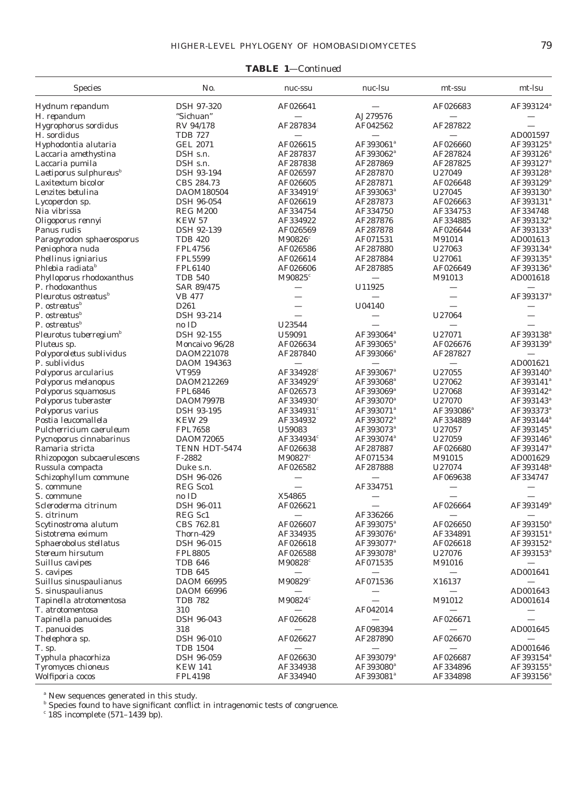# **TABLE 1***—Continued*

| <b>Species</b>                            | No.               | nuc-ssu               | nuc-lsu                  | mt-ssu                   | mt-lsu                           |  |
|-------------------------------------------|-------------------|-----------------------|--------------------------|--------------------------|----------------------------------|--|
| Hydnum repandum                           | DSH 97-320        | AF026641              |                          | AF026683                 | AF393124 <sup>ª</sup>            |  |
| H. repandum                               | "Sichuan"         |                       | AJ279576                 | $\overline{\phantom{0}}$ |                                  |  |
| Hygrophorus sordidus                      | RV 94/178         | AF287834              | AF042562                 | AF287822                 |                                  |  |
| H. sordidus                               | <b>TDB 727</b>    |                       |                          |                          | AD001597                         |  |
| Hyphodontia alutaria                      | <b>GEL 2071</b>   | AF026615              | AF393061 <sup>ª</sup>    | AF026660                 | AF393125 <sup>a</sup>            |  |
| Laccaria amethystina                      | DSH s.n.          | AF287837              | AF393062 <sup>ª</sup>    | AF287824                 | AF393126 <sup>ª</sup>            |  |
| Laccaria pumila                           | DSH s.n.          | AF287838              | AF287869                 | AF287825                 | AF393127 <sup>ª</sup>            |  |
| Laetiporus sulphureus <sup>b</sup>        | DSH 93-194        | AF026597              | AF287870                 | U27049                   | $\rm AF393128^{\it a}$           |  |
| Laxitextum bicolor                        | CBS 284.73        | AF026605              | AF287871                 | AF026648                 | AF393129ª                        |  |
| Lenzites betulina                         | DAOM180504        | AF334919 $^c$         | AF393063 <sup>ª</sup>    | U27045                   | AF393130 <sup>a</sup>            |  |
| Lycoperdon sp.                            | <b>DSH 96-054</b> | AF026619              | AF287873                 | AF026663                 | AF393131ª                        |  |
| Nia vibrissa                              | <b>REG M200</b>   | AF334754              | AF334750                 | AF334753                 | AF334748                         |  |
| Oligoporus rennyi                         | <b>KEW 57</b>     | AF334922              | AF287876                 | AF334885                 | AF393132 <sup>ª</sup>            |  |
| <i>Panus rudis</i>                        | DSH 92-139        | AF026569              | AF287878                 | AF026644                 | AF393133 <sup>ª</sup>            |  |
| Paragyrodon sphaerosporus                 | <b>TDB 420</b>    | M90826 <sup>c</sup>   | AF071531                 | M91014                   | AD001613                         |  |
| Peniophora nuda                           | <b>FPL4756</b>    | AF026586              | AF287880                 | U27063                   | AF393134 <sup>ª</sup>            |  |
| Phellinus igniarius                       | <b>FPL5599</b>    | AF026614              | AF287884                 | U27061                   | AF393135 <sup>ª</sup>            |  |
| Phlebia radiata <sup>b</sup>              | <b>FPL6140</b>    | AF026606              | AF287885                 | AF026649                 | AF393136 <sup>ª</sup>            |  |
| Phylloporus rhodoxanthus                  | <b>TDB 540</b>    | M90825 <sup>c</sup>   |                          | M91013                   | AD001618                         |  |
| P. rhodoxanthus                           | SAR 89/475        |                       | U11925                   | $\overline{\phantom{0}}$ |                                  |  |
| Pleurotus ostreatus <sup>b</sup>          | <b>VB 477</b>     |                       |                          |                          | AF393137ª                        |  |
| P. ostreatus $\mathbf{b}$                 | D261              |                       | U04140                   |                          |                                  |  |
| P. ostreatus <sup>b</sup>                 | DSH 93-214        |                       | $\overline{\phantom{0}}$ | U27064                   |                                  |  |
| P. ostreatus <sup>b</sup>                 | no ID             | U23544                |                          |                          |                                  |  |
|                                           | DSH 92-155        | U59091                | AF393064 <sup>ª</sup>    | U27071                   | AF393138 <sup>ª</sup>            |  |
| Pleurotus tuberregium <sup>b</sup>        | Moncaivo 96/28    | AF026634              | AF393065 <sup>ª</sup>    | AF026676                 | $\rm AF393139^{\it a}$           |  |
| Pluteus sp.                               | DAOM221078        | AF287840              | AF393066 <sup>ª</sup>    | AF287827                 |                                  |  |
| Polyporoletus sublividus<br>P. sublividus |                   |                       |                          |                          |                                  |  |
|                                           | DAOM 194363       |                       |                          |                          | AD001621                         |  |
| Polyporus arcularius                      | VT959             | AF334928 <sup>c</sup> | AF393067 <sup>ª</sup>    | U27055                   | AF393140 <sup>a</sup>            |  |
| Polyporus melanopus                       | DAOM212269        | AF334929 <sup>c</sup> | AF393068 <sup>a</sup>    | U27062                   | AF393141 <sup>ª</sup>            |  |
| Polyporus squamosus                       | <b>FPL6846</b>    | AF026573              | AF393069 <sup>ª</sup>    | U27068                   | AF393142 <sup>ª</sup>            |  |
| Polyporus tuberaster                      | DAOM7997B         | AF334930°             | AF393070 <sup>a</sup>    | U27070                   | $\rm AF393143^{\it a}$           |  |
| Polyporus varius                          | <b>DSH 93-195</b> | AF334931 <sup>c</sup> | AF393071 <sup>a</sup>    | AF393086 <sup>ª</sup>    | AF393373ª                        |  |
| Postia leucomallela                       | <b>KEW 29</b>     | AF334932              | AF393072 <sup>a</sup>    | AF334889                 | AF393144 <sup>ª</sup>            |  |
| Pulcherricium caeruleum                   | <b>FPL7658</b>    | U59083                | AF393073 <sup>ª</sup>    | U27057                   | AF393145 <sup>a</sup>            |  |
| Pycnoporus cinnabarinus                   | DAOM72065         | AF334934 <sup>c</sup> | AF393074 <sup>ª</sup>    | U27059                   | AF393146 <sup>ª</sup>            |  |
| Ramaria stricta                           | TENN HDT-5474     | AF026638              | AF287887                 | AF026680                 | AF393147 <sup>ª</sup>            |  |
| Rhizopogon subcaerulescens                | F-2882            | M90827 <sup>c</sup>   | AF071534                 | M91015                   | AD001629                         |  |
| Russula compacta                          | Duke s.n.         | AF026582              | AF287888                 | U27074                   | AF393148 <sup>a</sup>            |  |
| Schizophyllum commune                     | <b>DSH 96-026</b> |                       |                          | AF069638                 | AF334747                         |  |
| S. commune                                | <b>REG Sco1</b>   |                       | AF334751                 | $\qquad \qquad \qquad$   |                                  |  |
| S. commune                                | no ID             | X54865                |                          |                          |                                  |  |
| Scleroderma citrinum                      | DSH 96-011        | AF026621              |                          | AF026664                 | AF393149 <sup>ª</sup>            |  |
| S. citrinum                               | REG Sc1           |                       | AF336266                 | $\overline{\phantom{0}}$ |                                  |  |
| Scytinostroma alutum                      | CBS 762.81        | AF026607              | AF393075 <sup>a</sup>    | AF026650                 | AF393150 <sup>a</sup>            |  |
| Sistotrema eximum                         | Thorn-429         | AF334935              | AF393076 <sup>ª</sup>    | AF334891                 | AF393151 <sup>ª</sup>            |  |
| Sphaerobolus stellatus                    | DSH 96-015        | AF026618              | AF393077 <sup>ª</sup>    | AF026618                 | AF393152 <sup>ª</sup>            |  |
| Stereum hirsutum                          | <b>FPL8805</b>    | AF026588              | AF393078 <sup>a</sup>    | U27076                   | $\mathrm{AF}393153^{\mathrm{a}}$ |  |
| Suillus cavipes                           | <b>TDB 646</b>    | M90828 <sup>c</sup>   | AF071535                 | M91016                   |                                  |  |
| S. cavipes                                | <b>TDB 645</b>    |                       |                          |                          | AD001641                         |  |
| Suillus sinuspaulianus                    | <b>DAOM 66995</b> | M90829 <sup>c</sup>   | AF071536                 | X16137                   |                                  |  |
| S. sinuspaulianus                         | <b>DAOM 66996</b> |                       |                          |                          | AD001643                         |  |
| Tapinella atrotomentosa                   | <b>TDB 782</b>    | M90824 <sup>c</sup>   |                          | M91012                   | AD001614                         |  |
| T. atrotomentosa                          | 310               |                       | AF042014                 |                          |                                  |  |
| Tapinella panuoides                       | DSH 96-043        | AF026628              |                          | AF026671                 |                                  |  |
| T. panuoides                              | 318               |                       | AF098394                 |                          | AD001645                         |  |
| Thelephora sp.                            | DSH 96-010        | AF026627              | AF287890                 | AF026670                 |                                  |  |
| $T.$ sp.                                  | <b>TDB 1504</b>   |                       |                          |                          | AD001646                         |  |
| Typhula phacorhiza                        | DSH 96-059        | AF026630              | AF393079 <sup>a</sup>    | AF026687                 | AF393154 <sup>ª</sup>            |  |
| Tyromyces chioneus                        | <b>KEW 141</b>    | AF334938              | AF393080 <sup>a</sup>    | AF334896                 | AF393155 <sup>ª</sup>            |  |
| Wolfiporia cocos                          | <b>FPL4198</b>    | AF334940              | AF393081 <sup>ª</sup>    | AF334898                 | $\mathrm{AF}393156^{\mathrm{a}}$ |  |

*<sup>a</sup>* New sequences generated in this study.

*<sup>b</sup>* Species found to have significant conflict in intragenomic tests of congruence.

*<sup>c</sup>* 18S incomplete (571–1439 bp).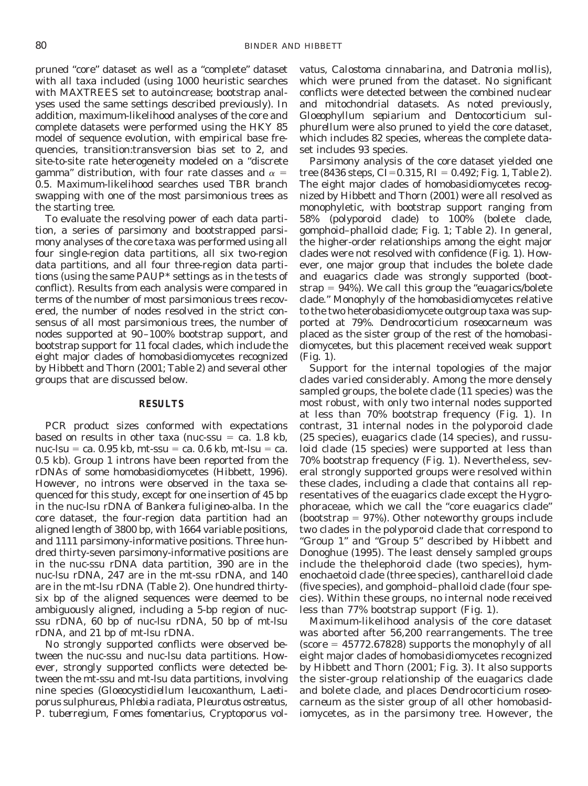pruned "core" dataset as well as a "complete" dataset with all taxa included (using 1000 heuristic searches with MAXTREES set to autoincrease; bootstrap analyses used the same settings described previously). In addition, maximum-likelihood analyses of the core and complete datasets were performed using the HKY 85 model of sequence evolution, with empirical base frequencies, transition:transversion bias set to 2, and site-to-site rate heterogeneity modeled on a "discrete gamma" distribution, with four rate classes and  $\alpha =$ 0.5. Maximum-likelihood searches used TBR branch swapping with one of the most parsimonious trees as the starting tree.

To evaluate the resolving power of each data partition, a series of parsimony and bootstrapped parsimony analyses of the core taxa was performed using all four single-region data partitions, all six two-region data partitions, and all four three-region data partitions (using the same PAUP\* settings as in the tests of conflict). Results from each analysis were compared in terms of the number of most parsimonious trees recovered, the number of nodes resolved in the strict consensus of all most parsimonious trees, the number of nodes supported at 90–100% bootstrap support, and bootstrap support for 11 focal clades, which include the eight major clades of homobasidiomycetes recognized by Hibbett and Thorn (2001; Table 2) and several other groups that are discussed below.

## **RESULTS**

PCR product sizes conformed with expectations based on results in other taxa (nuc-ssu  $=$  ca. 1.8 kb, nuc-lsu = ca. 0.95 kb, mt-ssu = ca. 0.6 kb, mt-lsu = ca. 0.5 kb). Group 1 introns have been reported from the rDNAs of some homobasidiomycetes (Hibbett, 1996). However, no introns were observed in the taxa sequenced for this study, except for one insertion of 45 bp in the nuc-lsu rDNA of *Bankera fuligineo-alba*. In the core dataset, the four-region data partition had an aligned length of 3800 bp, with 1664 variable positions, and 1111 parsimony-informative positions. Three hundred thirty-seven parsimony-informative positions are in the nuc-ssu rDNA data partition, 390 are in the nuc-lsu rDNA, 247 are in the mt-ssu rDNA, and 140 are in the mt-lsu rDNA (Table 2). One hundred thirtysix bp of the aligned sequences were deemed to be ambiguously aligned, including a 5-bp region of nucssu rDNA, 60 bp of nuc-lsu rDNA, 50 bp of mt-lsu rDNA, and 21 bp of mt-lsu rDNA.

No strongly supported conflicts were observed between the nuc-ssu and nuc-lsu data partitions. However, strongly supported conflicts were detected between the mt-ssu and mt-lsu data partitions, involving nine species (*Gloeocystidiellum leucoxanthum, Laetiporus sulphureus, Phlebia radiata, Pleurotus ostreatus, P. tuberregium, Fomes fomentarius, Cryptoporus vol-*

*vatus, Calostoma cinnabarina,* and *Datronia mollis*), which were pruned from the dataset. No significant conflicts were detected between the combined nuclear and mitochondrial datasets. As noted previously, *Gloeophyllum sepiarium* and *Dentocorticium sulphurellum* were also pruned to yield the core dataset, which includes 82 species, whereas the complete dataset includes 93 species.

Parsimony analysis of the core dataset yielded one tree (8436 steps, CI=0.315, RI = 0.492; Fig. 1, Table 2). The eight major clades of homobasidiomycetes recognized by Hibbett and Thorn (2001) were all resolved as monophyletic, with bootstrap support ranging from 58% (polyporoid clade) to 100% (bolete clade, gomphoid–phalloid clade; Fig. 1; Table 2). In general, the higher-order relationships among the eight major clades were not resolved with confidence (Fig. 1). However, one major group that includes the bolete clade and euagarics clade was strongly supported (bootstrap  $= 94\%$ ). We call this group the "euagarics/bolete" clade." Monophyly of the homobasidiomycetes relative to the two heterobasidiomycete outgroup taxa was supported at 79%. *Dendrocorticium roseocarneum* was placed as the sister group of the rest of the homobasidiomycetes, but this placement received weak support (Fig. 1).

Support for the internal topologies of the major clades varied considerably. Among the more densely sampled groups, the bolete clade (11 species) was the most robust, with only two internal nodes supported at less than 70% bootstrap frequency (Fig. 1). In contrast, 31 internal nodes in the polyporoid clade (25 species), euagarics clade (14 species), and russuloid clade (15 species) were supported at less than 70% bootstrap frequency (Fig. 1). Nevertheless, several strongly supported groups were resolved within these clades, including a clade that contains all representatives of the euagarics clade except the Hygrophoraceae, which we call the "core euagarics clade" (bootstrap  $= 97\%$ ). Other noteworthy groups include two clades in the polyporoid clade that correspond to "Group 1" and "Group 5" described by Hibbett and Donoghue (1995). The least densely sampled groups include the thelephoroid clade (two species), hymenochaetoid clade (three species), cantharelloid clade (five species), and gomphoid–phalloid clade (four species). Within these groups, no internal node received less than 77% bootstrap support (Fig. 1).

Maximum-likelihood analysis of the core dataset was aborted after 56,200 rearrangements. The tree  $(score = 45772.67828)$  supports the monophyly of all eight major clades of homobasidiomycetes recognized by Hibbett and Thorn (2001; Fig. 3). It also supports the sister-group relationship of the euagarics clade and bolete clade, and places *Dendrocorticium roseocarneum* as the sister group of all other homobasidiomycetes, as in the parsimony tree. However, the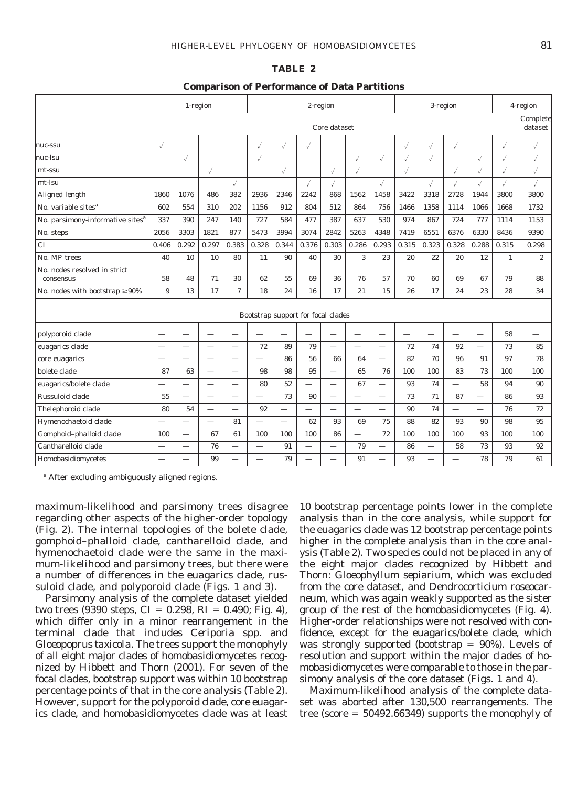#### **TABLE 2**

#### **Comparison of Performance of Data Partitions**

|                                              | 1-region                 |                          |                          | 2-region                 |                          |                          |                          |                          | 3-region                 |                          |                          |                          | 4-region                 |                          |              |                  |
|----------------------------------------------|--------------------------|--------------------------|--------------------------|--------------------------|--------------------------|--------------------------|--------------------------|--------------------------|--------------------------|--------------------------|--------------------------|--------------------------|--------------------------|--------------------------|--------------|------------------|
|                                              | Core dataset             |                          |                          |                          |                          |                          |                          |                          |                          |                          |                          |                          | Complete<br>dataset      |                          |              |                  |
| nuc-ssu                                      | $\sqrt{}$                |                          |                          |                          | $\sqrt{}$                | √                        | √                        |                          |                          |                          | √                        |                          | $\surd$                  |                          | √            | √                |
| nuc-lsu                                      |                          |                          |                          |                          | $\sqrt{}$                |                          |                          |                          |                          | $\surd$                  |                          | $\sqrt{}$                |                          | J                        | $\surd$      | √                |
| mt-ssu                                       |                          |                          |                          |                          |                          | $\surd$                  |                          |                          |                          |                          | $\surd$                  |                          |                          |                          | $\checkmark$ |                  |
| mt-lsu                                       |                          |                          |                          |                          |                          |                          |                          | $\surd$                  |                          | √                        |                          |                          |                          |                          | $\checkmark$ |                  |
| Aligned length                               | 1860                     | 1076                     | 486                      | 382                      | 2936                     | 2346                     | 2242                     | 868                      | 1562                     | 1458                     | 3422                     | 3318                     | 2728                     | 1944                     | 3800         | 3800             |
| No. variable sites <sup><math>a</math></sup> | 602                      | 554                      | 310                      | 202                      | 1156                     | 912                      | 804                      | 512                      | 864                      | 756                      | 1466                     | 1358                     | 1114                     | 1066                     | 1668         | 1732             |
| No. parsimony-informative sites <sup>a</sup> | 337                      | 390                      | 247                      | 140                      | 727                      | 584                      | 477                      | 387                      | 637                      | 530                      | 974                      | 867                      | 724                      | 777                      | 1114         | 1153             |
| No. steps                                    | 2056                     | 3303                     | 1821                     | 877                      | 5473                     | 3994                     | 3074                     | 2842                     | 5263                     | 4348                     | 7419                     | 6551                     | 6376                     | 6330                     | 8436         | 9390             |
| <b>CI</b>                                    | 0.406                    | 0.292                    | 0.297                    | 0.383                    | 0.328                    | 0.344                    | 0.376                    | 0.303                    | 0.286                    | 0.293                    | 0.315                    | 0.323                    | 0.328                    | 0.288                    | 0.315        | 0.298            |
| No. MP trees                                 | 40                       | 10                       | 10                       | 80                       | 11                       | 90                       | 40                       | 30                       | 3                        | 23                       | 20                       | 22                       | 20                       | 12                       | $\mathbf{1}$ | $\boldsymbol{2}$ |
| No. nodes resolved in strict<br>consensus    | 58                       | 48                       | 71                       | 30                       | 62                       | 55                       | 69                       | 36                       | 76                       | 57                       | 70                       | 60                       | 69                       | 67                       | 79           | 88               |
| No. nodes with bootstrap $\geq 90\%$         | 9                        | 13                       | 17                       | $\tau$                   | 18                       | 24                       | 16                       | 17                       | 21                       | 15                       | 26                       | 17                       | 24                       | 23                       | 28           | 34               |
| Bootstrap support for focal clades           |                          |                          |                          |                          |                          |                          |                          |                          |                          |                          |                          |                          |                          |                          |              |                  |
| polyporoid clade                             |                          | $\overline{\phantom{0}}$ |                          |                          |                          |                          |                          |                          |                          | $\overline{\phantom{0}}$ | $\overline{\phantom{0}}$ | $\overline{\phantom{0}}$ | $\overline{\phantom{0}}$ | $\overline{\phantom{0}}$ | 58           |                  |
| euagarics clade                              |                          |                          |                          |                          | 72                       | 89                       | 79                       | $\overline{\phantom{0}}$ |                          | $\overline{\phantom{0}}$ | 72                       | 74                       | 92                       | $\overline{\phantom{0}}$ | 73           | 85               |
| core euagarics                               | $\overline{\phantom{0}}$ | $\overline{\phantom{0}}$ | $\overline{\phantom{0}}$ | $\overline{\phantom{0}}$ | $\overline{\phantom{0}}$ | 86                       | 56                       | 66                       | 64                       | $\overline{\phantom{0}}$ | 82                       | 70                       | 96                       | 91                       | 97           | 78               |
| bolete clade                                 | 87                       | 63                       |                          |                          | 98                       | 98                       | 95                       |                          | 65                       | 76                       | 100                      | 100                      | 83                       | 73                       | 100          | 100              |
| euagarics/bolete clade                       | $\overline{\phantom{0}}$ | $\overline{\phantom{0}}$ | $\overline{\phantom{0}}$ | $\overline{\phantom{0}}$ | 80                       | 52                       | $\overline{\phantom{0}}$ | $\overline{\phantom{0}}$ | 67                       | $\overline{\phantom{0}}$ | 93                       | 74                       | $\overline{\phantom{0}}$ | 58                       | 94           | 90               |
| Russuloid clade                              | 55                       |                          |                          |                          |                          | 73                       | 90                       |                          |                          |                          | 73                       | 71                       | 87                       |                          | 86           | 93               |
| Thelephoroid clade                           | 80                       | 54                       | $\overline{\phantom{0}}$ |                          | 92                       | $\overline{\phantom{0}}$ | $\overline{\phantom{0}}$ |                          |                          | $\overline{\phantom{0}}$ | 90                       | 74                       | $\overline{\phantom{0}}$ |                          | 76           | 72               |
| Hymenochaetoid clade                         |                          | $\overline{\phantom{0}}$ |                          | 81                       |                          | $\overline{\phantom{0}}$ | 62                       | 93                       | 69                       | 75                       | 88                       | 82                       | 93                       | 90                       | 98           | 95               |
| Gomphoid-phalloid clade                      | 100                      | $\overline{\phantom{0}}$ | 67                       | 61                       | 100                      | 100                      | 100                      | 86                       | $\overline{\phantom{0}}$ | 72                       | 100                      | 100                      | 100                      | 93                       | 100          | 100              |
| Cantharelloid clade                          |                          |                          | 76                       |                          |                          | 91                       |                          |                          | 79                       | $\overline{\phantom{0}}$ | 86                       | $\overline{\phantom{0}}$ | 58                       | 73                       | 93           | 92               |
| Homobasidiomycetes                           |                          |                          | 99                       |                          |                          | 79                       |                          |                          | 91                       |                          | 93                       |                          |                          | 78                       | 79           | 61               |

*<sup>a</sup>* After excluding ambiguously aligned regions.

maximum-likelihood and parsimony trees disagree regarding other aspects of the higher-order topology (Fig. 2). The internal topologies of the bolete clade, gomphoid–phalloid clade, cantharelloid clade, and hymenochaetoid clade were the same in the maximum-likelihood and parsimony trees, but there were a number of differences in the euagarics clade, russuloid clade, and polyporoid clade (Figs. 1 and 3).

Parsimony analysis of the complete dataset yielded two trees (9390 steps,  $CI = 0.298$ ,  $RI = 0.490$ ; Fig. 4), which differ only in a minor rearrangement in the terminal clade that includes *Ceriporia* spp. and *Gloeopoprus taxicola*. The trees support the monophyly of all eight major clades of homobasidiomycetes recognized by Hibbett and Thorn (2001). For seven of the focal clades, bootstrap support was within 10 bootstrap percentage points of that in the core analysis (Table 2). However, support for the polyporoid clade, core euagarics clade, and homobasidiomycetes clade was at least

10 bootstrap percentage points lower in the complete analysis than in the core analysis, while support for the euagarics clade was 12 bootstrap percentage points higher in the complete analysis than in the core analysis (Table 2). Two species could not be placed in any of the eight major clades recognized by Hibbett and Thorn: *Gloeophyllum sepiarium,* which was excluded from the core dataset, and *Dendrocorticium roseocarneum,* which was again weakly supported as the sister group of the rest of the homobasidiomycetes (Fig. 4). Higher-order relationships were not resolved with confidence, except for the euagarics/bolete clade, which was strongly supported (bootstrap  $= 90\%$ ). Levels of resolution and support within the major clades of homobasidiomycetes were comparable to those in the parsimony analysis of the core dataset (Figs. 1 and 4).

Maximum-likelihood analysis of the complete dataset was aborted after 130,500 rearrangements. The tree (score  $= 50492.66349$ ) supports the monophyly of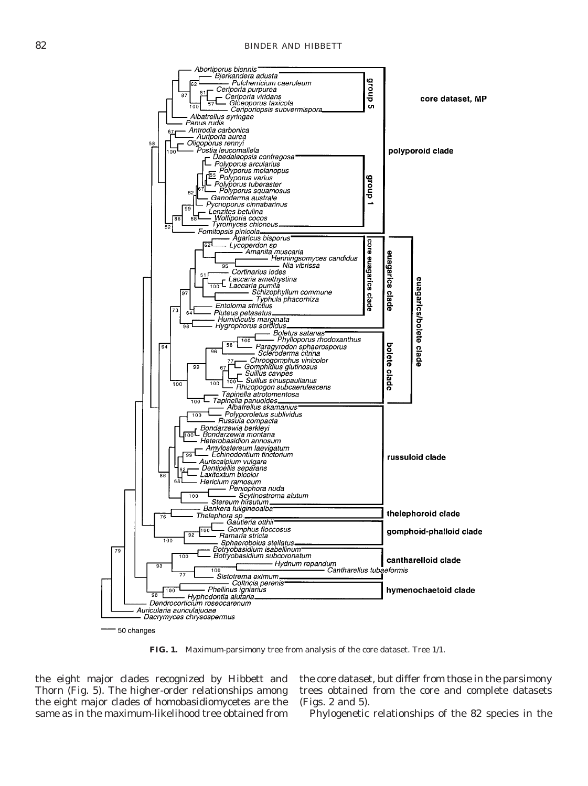

**FIG. 1.** Maximum-parsimony tree from analysis of the core dataset. Tree 1/1.

the eight major clades recognized by Hibbett and Thorn (Fig. 5). The higher-order relationships among the eight major clades of homobasidiomycetes are the same as in the maximum-likelihood tree obtained from

the core dataset, but differ from those in the parsimony trees obtained from the core and complete datasets (Figs. 2 and 5).

Phylogenetic relationships of the 82 species in the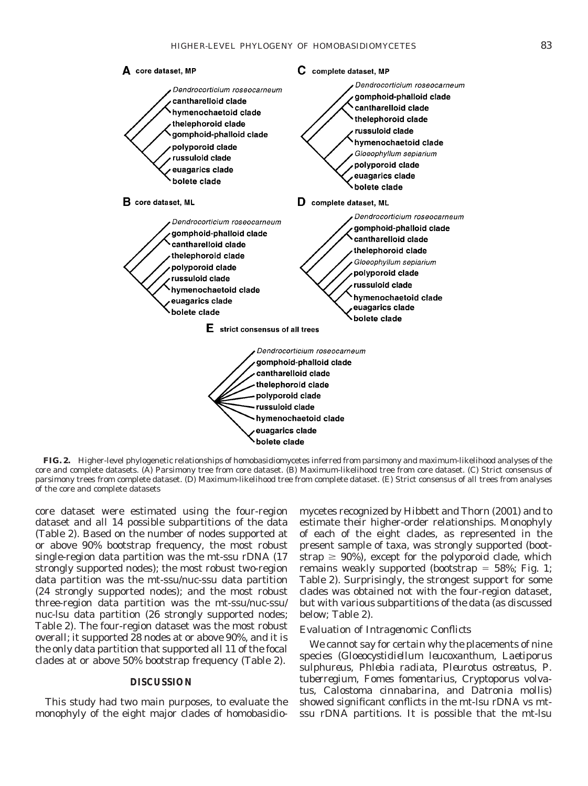

**FIG. 2.** Higher-level phylogenetic relationships of homobasidiomycetes inferred from parsimony and maximum-likelihood analyses of the core and complete datasets. (A) Parsimony tree from core dataset. (B) Maximum-likelihood tree from core dataset. (C) Strict consensus of parsimony trees from complete dataset. (D) Maximum-likelihood tree from complete dataset. (E) Strict consensus of all trees from analyses of the core and complete datasets

core dataset were estimated using the four-region dataset and all 14 possible subpartitions of the data (Table 2). Based on the number of nodes supported at or above 90% bootstrap frequency, the most robust single-region data partition was the mt-ssu rDNA (17 strongly supported nodes); the most robust two-region data partition was the mt-ssu/nuc-ssu data partition (24 strongly supported nodes); and the most robust three-region data partition was the mt-ssu/nuc-ssu/ nuc-lsu data partition (26 strongly supported nodes; Table 2). The four-region dataset was the most robust overall; it supported 28 nodes at or above 90%, and it is the only data partition that supported all 11 of the focal clades at or above 50% bootstrap frequency (Table 2).

# **DISCUSSION**

This study had two main purposes, to evaluate the monophyly of the eight major clades of homobasidio-

mycetes recognized by Hibbett and Thorn (2001) and to estimate their higher-order relationships. Monophyly of each of the eight clades, as represented in the present sample of taxa, was strongly supported (bootstrap  $\geq 90\%$ ), except for the polyporoid clade, which remains weakly supported (bootstrap  $=$  58%; Fig. 1; Table 2). Surprisingly, the strongest support for some clades was obtained not with the four-region dataset, but with various subpartitions of the data (as discussed below; Table 2).

# *Evaluation of Intragenomic Conflicts*

We cannot say for certain why the placements of nine species (*Gloeocystidiellum leucoxanthum, Laetiporus sulphureus, Phlebia radiata, Pleurotus ostreatus, P. tuberregium, Fomes fomentarius, Cryptoporus volvatus, Calostoma cinnabarina,* and *Datronia mollis*) showed significant conflicts in the mt-lsu rDNA vs mtssu rDNA partitions. It is possible that the mt-lsu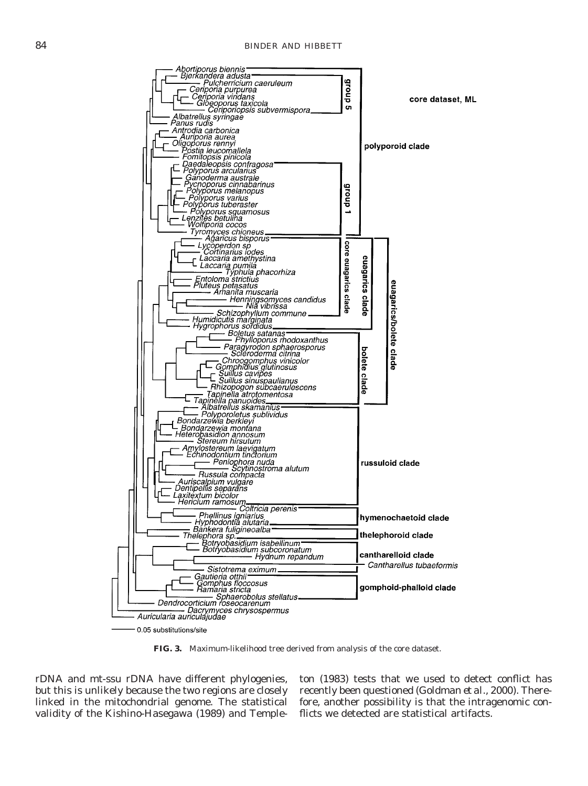

**FIG. 3.** Maximum-likelihood tree derived from analysis of the core dataset.

rDNA and mt-ssu rDNA have different phylogenies, but this is unlikely because the two regions are closely linked in the mitochondrial genome. The statistical validity of the Kishino-Hasegawa (1989) and Templeton (1983) tests that we used to detect conflict has recently been questioned (Goldman *et al.,* 2000). Therefore, another possibility is that the intragenomic conflicts we detected are statistical artifacts.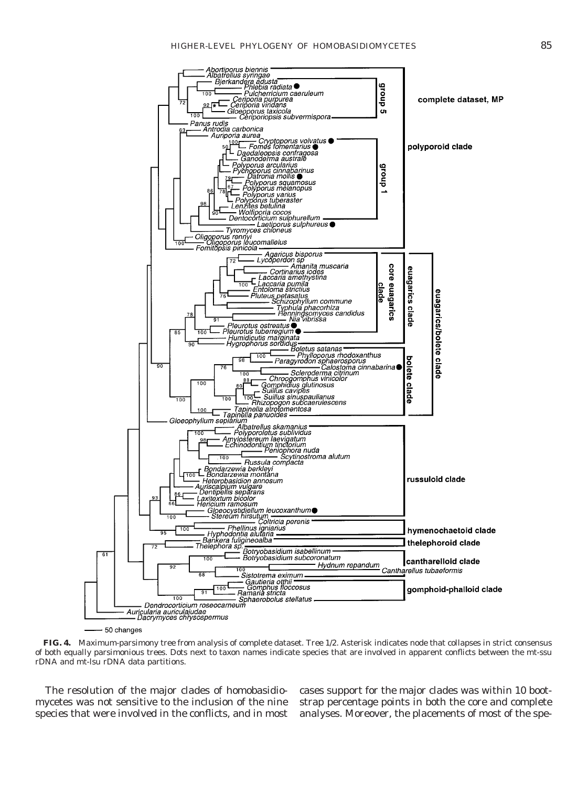

**FIG. 4.** Maximum-parsimony tree from analysis of complete dataset. Tree 1/2. Asterisk indicates node that collapses in strict consensus of both equally parsimonious trees. Dots next to taxon names indicate species that are involved in apparent conflicts between the mt-ssu rDNA and mt-lsu rDNA data partitions.

The resolution of the major clades of homobasidiomycetes was not sensitive to the inclusion of the nine species that were involved in the conflicts, and in most cases support for the major clades was within 10 bootstrap percentage points in both the core and complete analyses. Moreover, the placements of most of the spe-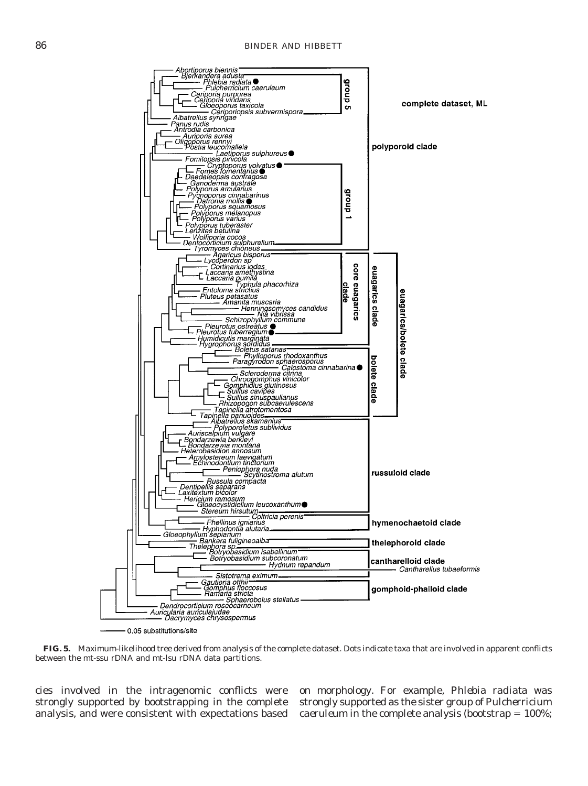

**FIG. 5.** Maximum-likelihood tree derived from analysis of the complete dataset. Dots indicate taxa that are involved in apparent conflicts between the mt-ssu rDNA and mt-lsu rDNA data partitions.

cies involved in the intragenomic conflicts were strongly supported by bootstrapping in the complete analysis, and were consistent with expectations based on morphology. For example, *Phlebia radiata* was strongly supported as the sister group of *Pulcherricium caeruleum* in the complete analysis (bootstrap  $= 100\%$ ;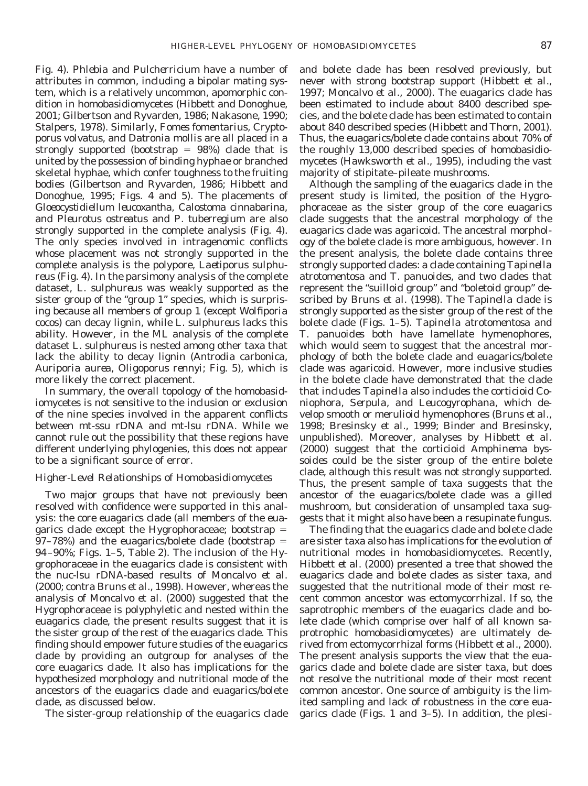Fig. 4). *Phlebia* and *Pulcherricium* have a number of attributes in common, including a bipolar mating system, which is a relatively uncommon, apomorphic condition in homobasidiomycetes (Hibbett and Donoghue, 2001; Gilbertson and Ryvarden, 1986; Nakasone, 1990; Stalpers, 1978). Similarly, *Fomes fomentarius, Cryptoporus volvatus,* and *Datronia mollis* are all placed in a strongly supported (bootstrap  $= 98\%$ ) clade that is united by the possession of binding hyphae or branched skeletal hyphae, which confer toughness to the fruiting bodies (Gilbertson and Ryvarden, 1986; Hibbett and Donoghue, 1995; Figs. 4 and 5). The placements of *Gloeocystidiellum leucoxantha, Calostoma cinnabarina,* and *Pleurotus ostreatus* and *P. tuberregium* are also strongly supported in the complete analysis (Fig. 4). The only species involved in intragenomic conflicts whose placement was not strongly supported in the complete analysis is the polypore, *Laetiporus sulphureus* (Fig. 4). In the parsimony analysis of the complete dataset, *L. sulphureus* was weakly supported as the sister group of the "group 1" species, which is surprising because all members of group 1 (except *Wolfiporia cocos*) can decay lignin, while *L. sulphureus* lacks this ability. However, in the ML analysis of the complete dataset *L. sulphureus* is nested among other taxa that lack the ability to decay lignin (*Antrodia carbonica, Auriporia aurea, Oligoporus rennyi*; Fig. 5), which is more likely the correct placement.

In summary, the overall topology of the homobasidiomycetes is not sensitive to the inclusion or exclusion of the nine species involved in the apparent conflicts between mt-ssu rDNA and mt-lsu rDNA. While we cannot rule out the possibility that these regions have different underlying phylogenies, this does not appear to be a significant source of error.

## *Higher-Level Relationships of Homobasidiomycetes*

Two major groups that have not previously been resolved with confidence were supported in this analysis: the core euagarics clade (all members of the euagarics clade except the Hygrophoraceae; bootstrap  $=$ 97–78%) and the euagarics/bolete clade (bootstrap  $=$ 94–90%; Figs. 1–5, Table 2). The inclusion of the Hygrophoraceae in the euagarics clade is consistent with the nuc-lsu rDNA-based results of Moncalvo *et al.* (2000; *contra* Bruns *et al.,* 1998). However, whereas the analysis of Moncalvo *et al.* (2000) suggested that the Hygrophoraceae is polyphyletic and nested within the euagarics clade, the present results suggest that it is the sister group of the rest of the euagarics clade. This finding should empower future studies of the euagarics clade by providing an outgroup for analyses of the core euagarics clade. It also has implications for the hypothesized morphology and nutritional mode of the ancestors of the euagarics clade and euagarics/bolete clade, as discussed below.

The sister-group relationship of the euagarics clade

and bolete clade has been resolved previously, but never with strong bootstrap support (Hibbett *et al.,* 1997; Moncalvo *et al.,* 2000). The euagarics clade has been estimated to include about 8400 described species, and the bolete clade has been estimated to contain about 840 described species (Hibbett and Thorn, 2001). Thus, the euagarics/bolete clade contains about 70% of the roughly 13,000 described species of homobasidiomycetes (Hawksworth *et al.,* 1995), including the vast majority of stipitate–pileate mushrooms.

Although the sampling of the euagarics clade in the present study is limited, the position of the Hygrophoraceae as the sister group of the core euagarics clade suggests that the ancestral morphology of the euagarics clade was agaricoid. The ancestral morphology of the bolete clade is more ambiguous, however. In the present analysis, the bolete clade contains three strongly supported clades: a clade containing *Tapinella atrotomentosa* and *T. panuoides,* and two clades that represent the "suilloid group" and "boletoid group" described by Bruns *et al.* (1998). The *Tapinella* clade is strongly supported as the sister group of the rest of the bolete clade (Figs. 1–5). *Tapinella atrotomentosa* and *T. panuoides* both have lamellate hymenophores, which would seem to suggest that the ancestral morphology of both the bolete clade and euagarics/bolete clade was agaricoid. However, more inclusive studies in the bolete clade have demonstrated that the clade that includes *Tapinella* also includes the corticioid *Coniophora, Serpula,* and *Leucogyrophana,* which develop smooth or merulioid hymenophores (Bruns *et al.,* 1998; Bresinsky *et al.,* 1999; Binder and Bresinsky, unpublished). Moreover, analyses by Hibbett *et al.* (2000) suggest that the corticioid *Amphinema byssoides* could be the sister group of the entire bolete clade, although this result was not strongly supported. Thus, the present sample of taxa suggests that the ancestor of the euagarics/bolete clade was a gilled mushroom, but consideration of unsampled taxa suggests that it might also have been a resupinate fungus.

The finding that the euagarics clade and bolete clade are sister taxa also has implications for the evolution of nutritional modes in homobasidiomycetes. Recently, Hibbett *et al.* (2000) presented a tree that showed the euagarics clade and bolete clades as sister taxa, and suggested that the nutritional mode of their most recent common ancestor was ectomycorrhizal. If so, the saprotrophic members of the euagarics clade and bolete clade (which comprise over half of all known saprotrophic homobasidiomycetes) are ultimately derived from ectomycorrhizal forms (Hibbett *et al.,* 2000). The present analysis supports the view that the euagarics clade and bolete clade are sister taxa, but does not resolve the nutritional mode of their most recent common ancestor. One source of ambiguity is the limited sampling and lack of robustness in the core euagarics clade (Figs. 1 and 3–5). In addition, the plesi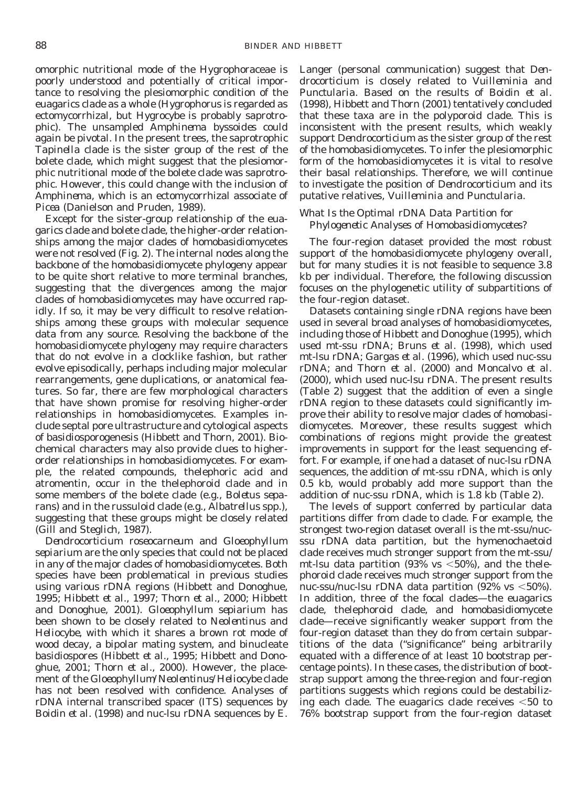omorphic nutritional mode of the Hygrophoraceae is poorly understood and potentially of critical importance to resolving the plesiomorphic condition of the euagarics clade as a whole (*Hygrophorus* is regarded as ectomycorrhizal, but *Hygrocybe* is probably saprotrophic). The unsampled *Amphinema byssoides* could again be pivotal. In the present trees, the saprotrophic *Tapinella* clade is the sister group of the rest of the bolete clade, which might suggest that the plesiomorphic nutritional mode of the bolete clade was saprotrophic. However, this could change with the inclusion of *Amphinema,* which is an ectomycorrhizal associate of *Picea* (Danielson and Pruden, 1989).

Except for the sister-group relationship of the euagarics clade and bolete clade, the higher-order relationships among the major clades of homobasidiomycetes were not resolved (Fig. 2). The internal nodes along the backbone of the homobasidiomycete phylogeny appear to be quite short relative to more terminal branches, suggesting that the divergences among the major clades of homobasidiomycetes may have occurred rapidly. If so, it may be very difficult to resolve relationships among these groups with molecular sequence data from any source. Resolving the backbone of the homobasidiomycete phylogeny may require characters that do not evolve in a clocklike fashion, but rather evolve episodically, perhaps including major molecular rearrangements, gene duplications, or anatomical features. So far, there are few morphological characters that have shown promise for resolving higher-order relationships in homobasidiomycetes. Examples include septal pore ultrastructure and cytological aspects of basidiosporogenesis (Hibbett and Thorn, 2001). Biochemical characters may also provide clues to higherorder relationships in homobasidiomycetes. For example, the related compounds, thelephoric acid and atromentin, occur in the thelephoroid clade and in some members of the bolete clade (e.g., *Boletus separans*) and in the russuloid clade (e.g., *Albatrellus* spp.), suggesting that these groups might be closely related (Gill and Steglich, 1987).

*Dendrocorticium roseocarneum* and *Gloeophyllum sepiarium* are the only species that could not be placed in any of the major clades of homobasidiomycetes. Both species have been problematical in previous studies using various rDNA regions (Hibbett and Donoghue, 1995; Hibbett *et al.,* 1997; Thorn *et al.,* 2000; Hibbett and Donoghue, 2001). *Gloeophyllum sepiarium* has been shown to be closely related to *Neolentinus* and *Heliocybe,* with which it shares a brown rot mode of wood decay, a bipolar mating system, and binucleate basidiospores (Hibbett *et al.,* 1995; Hibbett and Donoghue, 2001; Thorn *et al.,* 2000). However, the placement of the *Gloeophyllum/Neolentinus/Heliocybe* clade has not been resolved with confidence. Analyses of rDNA internal transcribed spacer (ITS) sequences by Boidin *et al.* (1998) and nuc-lsu rDNA sequences by E.

Langer (personal communication) suggest that *Dendrocorticium* is closely related to *Vuilleminia* and *Punctularia*. Based on the results of Boidin *et al.* (1998), Hibbett and Thorn (2001) tentatively concluded that these taxa are in the polyporoid clade. This is inconsistent with the present results, which weakly support *Dendrocorticium* as the sister group of the rest of the homobasidiomycetes. To infer the plesiomorphic form of the homobasidiomycetes it is vital to resolve their basal relationships. Therefore, we will continue to investigate the position of *Dendrocorticium* and its putative relatives, *Vuilleminia* and *Punctularia*.

# *What Is the Optimal rDNA Data Partition for Phylogenetic Analyses of Homobasidiomycetes?*

The four-region dataset provided the most robust support of the homobasidiomycete phylogeny overall, but for many studies it is not feasible to sequence 3.8 kb per individual. Therefore, the following discussion focuses on the phylogenetic utility of subpartitions of the four-region dataset.

Datasets containing single rDNA regions have been used in several broad analyses of homobasidiomycetes, including those of Hibbett and Donoghue (1995), which used mt-ssu rDNA; Bruns *et al.* (1998), which used mt-lsu rDNA; Gargas *et al.* (1996), which used nuc-ssu rDNA; and Thorn *et al.* (2000) and Moncalvo *et al.* (2000), which used nuc-lsu rDNA. The present results (Table 2) suggest that the addition of even a single rDNA region to these datasets could significantly improve their ability to resolve major clades of homobasidiomycetes. Moreover, these results suggest which combinations of regions might provide the greatest improvements in support for the least sequencing effort. For example, if one had a dataset of nuc-lsu rDNA sequences, the addition of mt-ssu rDNA, which is only 0.5 kb, would probably add more support than the addition of nuc-ssu rDNA, which is 1.8 kb (Table 2).

The levels of support conferred by particular data partitions differ from clade to clade. For example, the strongest two-region dataset overall is the mt-ssu/nucssu rDNA data partition, but the hymenochaetoid clade receives much stronger support from the mt-ssu/ mt-lsu data partition (93% vs  $<50\%$ ), and the thelephoroid clade receives much stronger support from the nuc-ssu/nuc-lsu rDNA data partition (92% vs  $<$ 50%). In addition, three of the focal clades—the euagarics clade, thelephoroid clade, and homobasidiomycete clade—receive significantly weaker support from the four-region dataset than they do from certain subpartitions of the data ("significance" being arbitrarily equated with a difference of at least 10 bootstrap percentage points). In these cases, the distribution of bootstrap support among the three-region and four-region partitions suggests which regions could be destabilizing each clade. The euagarics clade receives  $<50$  to 76% bootstrap support from the four-region dataset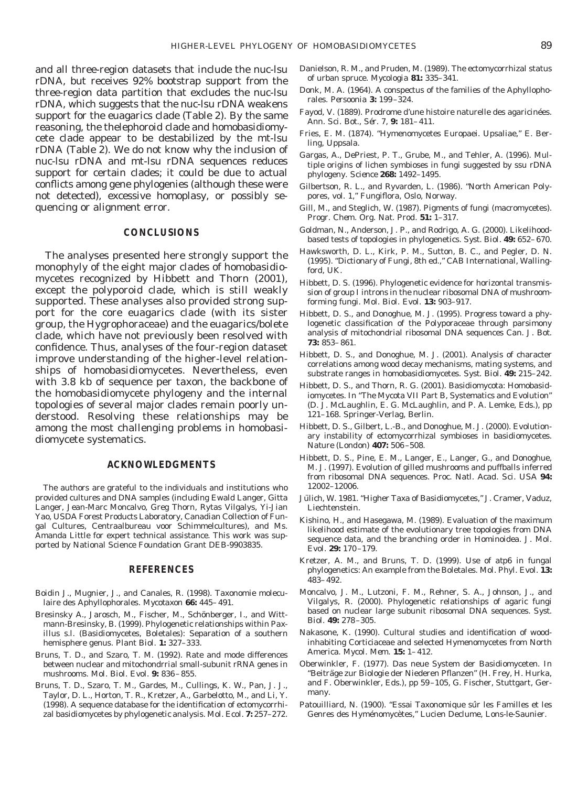and all three-region datasets that include the nuc-lsu rDNA, but receives 92% bootstrap support from the three-region data partition that excludes the nuc-lsu rDNA, which suggests that the nuc-lsu rDNA weakens support for the euagarics clade (Table 2). By the same reasoning, the thelephoroid clade and homobasidiomycete clade appear to be destabilized by the mt-lsu rDNA (Table 2). We do not know why the inclusion of nuc-lsu rDNA and mt-lsu rDNA sequences reduces support for certain clades; it could be due to actual conflicts among gene phylogenies (although these were not detected), excessive homoplasy, or possibly sequencing or alignment error.

## **CONCLUSIONS**

The analyses presented here strongly support the monophyly of the eight major clades of homobasidiomycetes recognized by Hibbett and Thorn (2001), except the polyporoid clade, which is still weakly supported. These analyses also provided strong support for the core euagarics clade (with its sister group, the Hygrophoraceae) and the euagarics/bolete clade, which have not previously been resolved with confidence. Thus, analyses of the four-region dataset improve understanding of the higher-level relationships of homobasidiomycetes. Nevertheless, even with 3.8 kb of sequence per taxon, the backbone of the homobasidiomycete phylogeny and the internal topologies of several major clades remain poorly understood. Resolving these relationships may be among the most challenging problems in homobasidiomycete systematics.

## **ACKNOWLEDGMENTS**

The authors are grateful to the individuals and institutions who provided cultures and DNA samples (including Ewald Langer, Gitta Langer, Jean-Marc Moncalvo, Greg Thorn, Rytas Vilgalys, Yi-Jian Yao, USDA Forest Products Laboratory, Canadian Collection of Fungal Cultures, Centraalbureau voor Schimmelcultures), and Ms. Amanda Little for expert technical assistance. This work was supported by National Science Foundation Grant DEB-9903835.

#### **REFERENCES**

- Boidin J., Mugnier, J., and Canales, R. (1998). Taxonomie moleculaire des Aphyllophorales. *Mycotaxon* **66:** 445–491.
- Bresinsky A., Jarosch, M., Fischer, M., Schönberger, I., and Wittmann-Bresinsky, B. (1999). Phylogenetic relationships within *Paxillus* s.l. (Basidiomycetes, Boletales): Separation of a southern hemisphere genus. *Plant Biol.* **1:** 327–333.
- Bruns, T. D., and Szaro, T. M. (1992). Rate and mode differences between nuclear and mitochondrrial small-subunit rRNA genes in mushrooms. *Mol. Biol. Evol.* **9:** 836–855.
- Bruns, T. D., Szaro, T. M., Gardes, M., Cullings, K. W., Pan, J. J., Taylor, D. L., Horton, T. R., Kretzer, A., Garbelotto, M., and Li, Y. (1998). A sequence database for the identification of ectomycorrhizal basidiomycetes by phylogenetic analysis. *Mol. Ecol.* **7:** 257–272.
- Danielson, R. M., and Pruden, M. (1989). The ectomycorrhizal status of urban spruce. *Mycologia* **81:** 335–341.
- Donk, M. A. (1964). A conspectus of the families of the Aphyllophorales. *Persoonia* **3:** 199–324.
- Fayod, V. (1889). Prodrome d'une histoire naturelle des agaricinées. *Ann. Sci. Bot., Se´r. 7,* **9:** 181–411.
- Fries, E. M. (1874). "Hymenomycetes Europaei. Upsaliae," E. Berling, Uppsala.
- Gargas, A., DePriest, P. T., Grube, M., and Tehler, A. (1996). Multiple origins of lichen symbioses in fungi suggested by ssu rDNA phylogeny. *Science* **268:** 1492–1495.
- Gilbertson, R. L., and Ryvarden, L. (1986). "North American Polypores, vol. 1," Fungiflora, Oslo, Norway.
- Gill, M., and Steglich, W. (1987). Pigments of fungi (macromycetes). *Progr. Chem. Org. Nat. Prod.* **51:** 1–317.
- Goldman, N., Anderson, J. P., and Rodrigo, A. G. (2000). Likelihoodbased tests of topologies in phylogenetics. *Syst. Biol.* **49:** 652–670.
- Hawksworth, D. L., Kirk, P. M., Sutton, B. C., and Pegler, D. N. (1995). "Dictionary of Fungi, 8th ed.," CAB International, Wallingford, UK.
- Hibbett, D. S. (1996). Phylogenetic evidence for horizontal transmission of group I introns in the nuclear ribosomal DNA of mushroomforming fungi. *Mol. Biol. Evol.* **13:** 903–917.
- Hibbett, D. S., and Donoghue, M. J. (1995). Progress toward a phylogenetic classification of the Polyporaceae through parsimony analysis of mitochondrial ribosomal DNA sequences *Can. J. Bot.* **73:** 853–861.
- Hibbett, D. S., and Donoghue, M. J. (2001). Analysis of character correlations among wood decay mechanisms, mating systems, and substrate ranges in homobasidiomycetes. *Syst. Biol.* **49:** 215–242.
- Hibbett, D. S., and Thorn, R. G. (2001). Basidiomycota: Homobasidiomycetes. *In* "The Mycota VII Part B, Systematics and Evolution" (D. J. McLaughlin, E. G. McLaughlin, and P. A. Lemke, Eds.), pp 121–168. Springer-Verlag, Berlin.
- Hibbett, D. S., Gilbert, L.-B., and Donoghue, M. J. (2000). Evolutionary instability of ectomycorrhizal symbioses in basidiomycetes. *Nature (London)* **407:** 506–508.
- Hibbett, D. S., Pine, E. M., Langer, E., Langer, G., and Donoghue, M. J. (1997). Evolution of gilled mushrooms and puffballs inferred from ribosomal DNA sequences. *Proc. Natl. Acad. Sci. USA* **94:** 12002–12006.
- Jülich, W. 1981. "Higher Taxa of Basidiomycetes," J. Cramer, Vaduz, Liechtenstein.
- Kishino, H., and Hasegawa, M. (1989). Evaluation of the maximum likelihood estimate of the evolutionary tree topologies from DNA sequence data, and the branching order in Hominoidea. *J. Mol. Evol.* **29:** 170–179.
- Kretzer, A. M., and Bruns, T. D. (1999). Use of *atp*6 in fungal phylogenetics: An example from the Boletales. *Mol. Phyl. Evol.* **13:** 483–492.
- Moncalvo, J. M., Lutzoni, F. M., Rehner, S. A., Johnson, J., and Vilgalys, R. (2000). Phylogenetic relationships of agaric fungi based on nuclear large subunit ribosomal DNA sequences. *Syst. Biol.* **49:** 278–305.
- Nakasone, K. (1990). Cultural studies and identification of woodinhabiting Corticiaceae and selected Hymenomycetes from North America. *Mycol. Mem.* **15:** 1–412.
- Oberwinkler, F. (1977). Das neue System der Basidiomyceten. *In* "Beiträge zur Biologie der Niederen Pflanzen" (H. Frey, H. Hurka, and F. Oberwinkler, Eds.), pp 59–105, G. Fischer, Stuttgart, Germany.
- Patouilliard, N. (1900). "Essai Taxonomique sûr les Familles et les Genres des Hyménomycètes," Lucien Declume, Lons-le-Saunier.